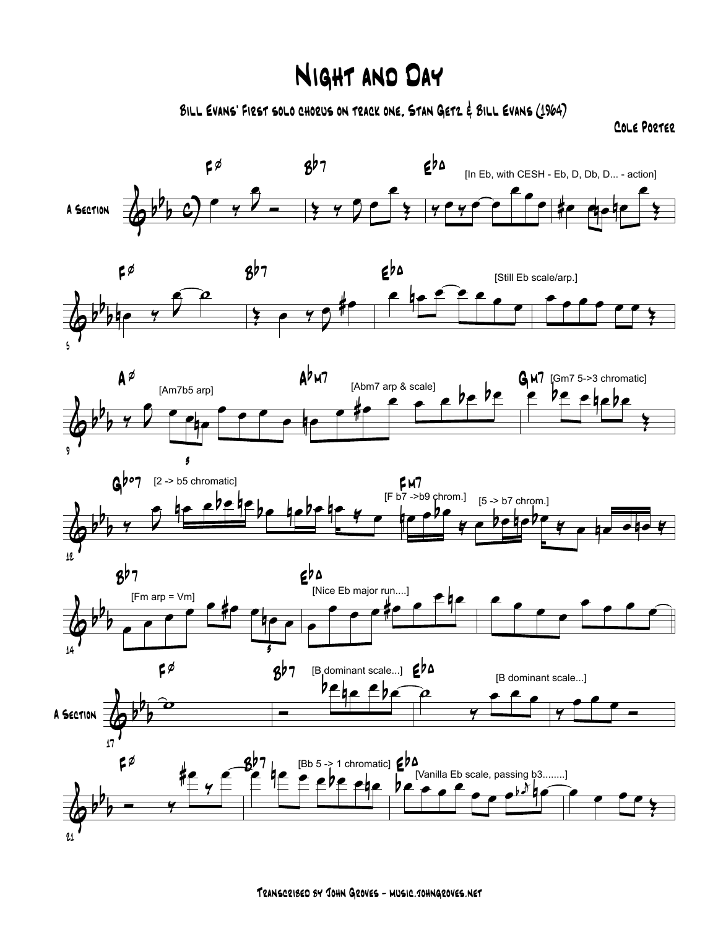## Night and Day

Bill Evans' First solo chorus on track one, Stan Getz & Bill Evans (1964)

Cole Porter